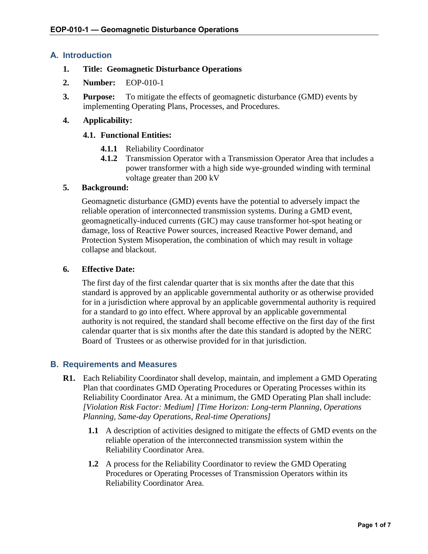## **A. Introduction**

#### **1. Title: Geomagnetic Disturbance Operations**

- **2. Number:** EOP-010-1
- **3. Purpose:** To mitigate the effects of geomagnetic disturbance (GMD) events by implementing Operating Plans, Processes, and Procedures.

#### **4. Applicability:**

#### **4.1. Functional Entities:**

- **4.1.1** Reliability Coordinator
- **4.1.2** Transmission Operator with a Transmission Operator Area that includes a power transformer with a high side wye-grounded winding with terminal voltage greater than 200 kV

#### **5. Background:**

Geomagnetic disturbance (GMD) events have the potential to adversely impact the reliable operation of interconnected transmission systems. During a GMD event, geomagnetically-induced currents (GIC) may cause transformer hot-spot heating or damage, loss of Reactive Power sources, increased Reactive Power demand, and Protection System Misoperation, the combination of which may result in voltage collapse and blackout.

#### **6. Effective Date:**

The first day of the first calendar quarter that is six months after the date that this standard is approved by an applicable governmental authority or as otherwise provided for in a jurisdiction where approval by an applicable governmental authority is required for a standard to go into effect. Where approval by an applicable governmental authority is not required, the standard shall become effective on the first day of the first calendar quarter that is six months after the date this standard is adopted by the NERC Board of Trustees or as otherwise provided for in that jurisdiction.

#### **B. Requirements and Measures**

- **R1.** Each Reliability Coordinator shall develop, maintain, and implement a GMD Operating Plan that coordinates GMD Operating Procedures or Operating Processes within its Reliability Coordinator Area. At a minimum, the GMD Operating Plan shall include: *[Violation Risk Factor: Medium] [Time Horizon: Long-term Planning, Operations Planning, Same-day Operations, Real-time Operations]*
	- **1.1** A description of activities designed to mitigate the effects of GMD events on the reliable operation of the interconnected transmission system within the Reliability Coordinator Area.
	- **1.2** A process for the Reliability Coordinator to review the GMD Operating Procedures or Operating Processes of Transmission Operators within its Reliability Coordinator Area.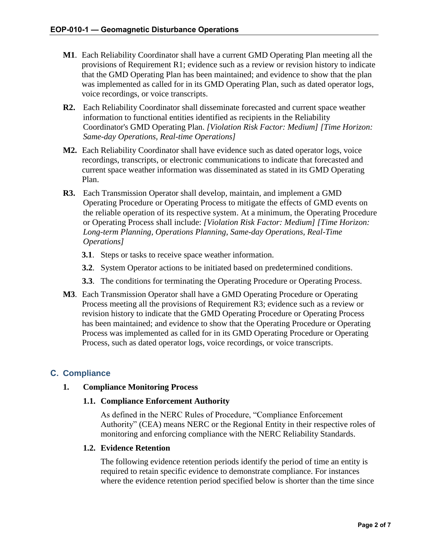- **M1**. Each Reliability Coordinator shall have a current GMD Operating Plan meeting all the provisions of Requirement R1; evidence such as a review or revision history to indicate that the GMD Operating Plan has been maintained; and evidence to show that the plan was implemented as called for in its GMD Operating Plan, such as dated operator logs, voice recordings, or voice transcripts.
- **R2.** Each Reliability Coordinator shall disseminate forecasted and current space weather information to functional entities identified as recipients in the Reliability Coordinator's GMD Operating Plan. *[Violation Risk Factor: Medium] [Time Horizon: Same-day Operations, Real-time Operations]*
- **M2.** Each Reliability Coordinator shall have evidence such as dated operator logs, voice recordings, transcripts, or electronic communications to indicate that forecasted and current space weather information was disseminated as stated in its GMD Operating Plan.
- **R3.** Each Transmission Operator shall develop, maintain, and implement a GMD Operating Procedure or Operating Process to mitigate the effects of GMD events on the reliable operation of its respective system. At a minimum, the Operating Procedure or Operating Process shall include: *[Violation Risk Factor: Medium] [Time Horizon: Long-term Planning, Operations Planning, Same-day Operations, Real-Time Operations]*
	- **3.1**. Steps or tasks to receive space weather information.
	- **3.2**. System Operator actions to be initiated based on predetermined conditions.
	- **3.3**. The conditions for terminating the Operating Procedure or Operating Process.
- **M3**. Each Transmission Operator shall have a GMD Operating Procedure or Operating Process meeting all the provisions of Requirement R3; evidence such as a review or revision history to indicate that the GMD Operating Procedure or Operating Process has been maintained; and evidence to show that the Operating Procedure or Operating Process was implemented as called for in its GMD Operating Procedure or Operating Process, such as dated operator logs, voice recordings, or voice transcripts.

# **C. Compliance**

# **1. Compliance Monitoring Process**

#### **1.1. Compliance Enforcement Authority**

As defined in the NERC Rules of Procedure, "Compliance Enforcement Authority" (CEA) means NERC or the Regional Entity in their respective roles of monitoring and enforcing compliance with the NERC Reliability Standards.

#### **1.2. Evidence Retention**

The following evidence retention periods identify the period of time an entity is required to retain specific evidence to demonstrate compliance. For instances where the evidence retention period specified below is shorter than the time since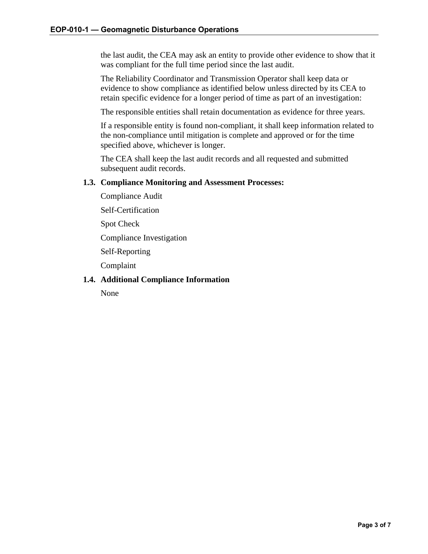the last audit, the CEA may ask an entity to provide other evidence to show that it was compliant for the full time period since the last audit.

The Reliability Coordinator and Transmission Operator shall keep data or evidence to show compliance as identified below unless directed by its CEA to retain specific evidence for a longer period of time as part of an investigation:

The responsible entities shall retain documentation as evidence for three years.

If a responsible entity is found non-compliant, it shall keep information related to the non-compliance until mitigation is complete and approved or for the time specified above, whichever is longer.

The CEA shall keep the last audit records and all requested and submitted subsequent audit records.

#### **1.3. Compliance Monitoring and Assessment Processes:**

Compliance Audit

Self-Certification

Spot Check

Compliance Investigation

Self-Reporting

Complaint

#### **1.4. Additional Compliance Information**

None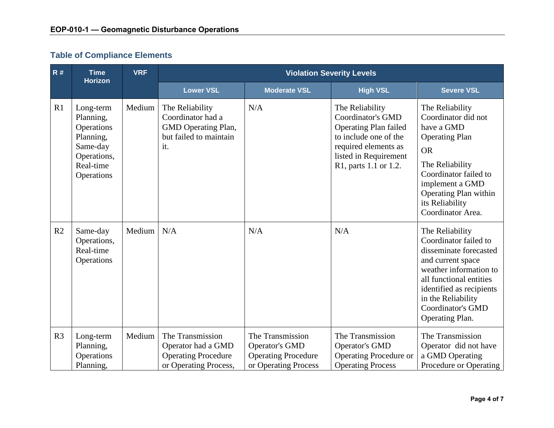# **Table of Compliance Elements**

| R#             | <b>Time</b><br><b>Horizon</b>                                                                           | <b>VRF</b> | <b>Violation Severity Levels</b>                                                              |                                                                                                 |                                                                                                                                                                                |                                                                                                                                                                                                                                               |
|----------------|---------------------------------------------------------------------------------------------------------|------------|-----------------------------------------------------------------------------------------------|-------------------------------------------------------------------------------------------------|--------------------------------------------------------------------------------------------------------------------------------------------------------------------------------|-----------------------------------------------------------------------------------------------------------------------------------------------------------------------------------------------------------------------------------------------|
|                |                                                                                                         |            | <b>Lower VSL</b>                                                                              | <b>Moderate VSL</b>                                                                             | <b>High VSL</b>                                                                                                                                                                | <b>Severe VSL</b>                                                                                                                                                                                                                             |
| R1             | Long-term<br>Planning,<br>Operations<br>Planning,<br>Same-day<br>Operations,<br>Real-time<br>Operations | Medium     | The Reliability<br>Coordinator had a<br>GMD Operating Plan,<br>but failed to maintain<br>it.  | N/A                                                                                             | The Reliability<br><b>Coordinator's GMD</b><br><b>Operating Plan failed</b><br>to include one of the<br>required elements as<br>listed in Requirement<br>R1, parts 1.1 or 1.2. | The Reliability<br>Coordinator did not<br>have a GMD<br><b>Operating Plan</b><br><b>OR</b><br>The Reliability<br>Coordinator failed to<br>implement a GMD<br>Operating Plan within<br>its Reliability<br>Coordinator Area.                    |
| R2             | Same-day<br>Operations,<br>Real-time<br>Operations                                                      | Medium     | N/A                                                                                           | N/A                                                                                             | N/A                                                                                                                                                                            | The Reliability<br>Coordinator failed to<br>disseminate forecasted<br>and current space<br>weather information to<br>all functional entities<br>identified as recipients<br>in the Reliability<br><b>Coordinator's GMD</b><br>Operating Plan. |
| R <sub>3</sub> | Long-term<br>Planning,<br>Operations<br>Planning,                                                       | Medium     | The Transmission<br>Operator had a GMD<br><b>Operating Procedure</b><br>or Operating Process, | The Transmission<br><b>Operator's GMD</b><br><b>Operating Procedure</b><br>or Operating Process | The Transmission<br><b>Operator's GMD</b><br><b>Operating Procedure or</b><br><b>Operating Process</b>                                                                         | The Transmission<br>Operator did not have<br>a GMD Operating<br>Procedure or Operating                                                                                                                                                        |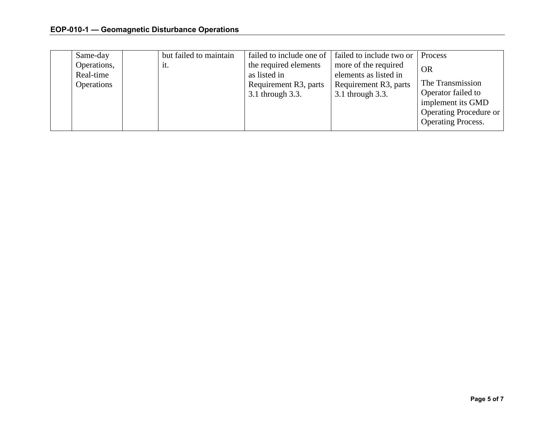| Same-day                 | but failed to maintain | failed to include one of                  | failed to include two or                      | Process                                                                  |
|--------------------------|------------------------|-------------------------------------------|-----------------------------------------------|--------------------------------------------------------------------------|
| Operations,<br>Real-time | it.                    | the required elements<br>as listed in     | more of the required<br>elements as listed in | <b>OR</b><br>The Transmission                                            |
| Operations               |                        | Requirement R3, parts<br>3.1 through 3.3. | Requirement R3, parts<br>3.1 through 3.3.     | Operator failed to                                                       |
|                          |                        |                                           |                                               | implement its GMD<br>Operating Procedure or<br><b>Operating Process.</b> |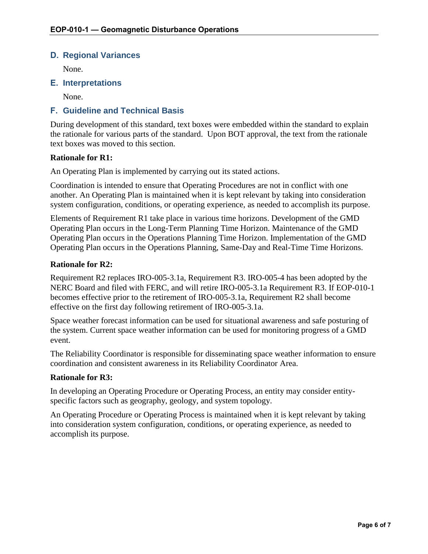## **D. Regional Variances**

None.

# **E. Interpretations**

None.

# **F. Guideline and Technical Basis**

During development of this standard, text boxes were embedded within the standard to explain the rationale for various parts of the standard. Upon BOT approval, the text from the rationale text boxes was moved to this section.

#### **Rationale for R1:**

An Operating Plan is implemented by carrying out its stated actions.

Coordination is intended to ensure that Operating Procedures are not in conflict with one another. An Operating Plan is maintained when it is kept relevant by taking into consideration system configuration, conditions, or operating experience, as needed to accomplish its purpose.

Elements of Requirement R1 take place in various time horizons. Development of the GMD Operating Plan occurs in the Long-Term Planning Time Horizon. Maintenance of the GMD Operating Plan occurs in the Operations Planning Time Horizon. Implementation of the GMD Operating Plan occurs in the Operations Planning, Same-Day and Real-Time Time Horizons.

#### **Rationale for R2:**

Requirement R2 replaces IRO-005-3.1a, Requirement R3. IRO-005-4 has been adopted by the NERC Board and filed with FERC, and will retire IRO-005-3.1a Requirement R3. If EOP-010-1 becomes effective prior to the retirement of IRO-005-3.1a, Requirement R2 shall become effective on the first day following retirement of IRO-005-3.1a.

Space weather forecast information can be used for situational awareness and safe posturing of the system. Current space weather information can be used for monitoring progress of a GMD event.

The Reliability Coordinator is responsible for disseminating space weather information to ensure coordination and consistent awareness in its Reliability Coordinator Area.

#### **Rationale for R3:**

In developing an Operating Procedure or Operating Process, an entity may consider entityspecific factors such as geography, geology, and system topology.

An Operating Procedure or Operating Process is maintained when it is kept relevant by taking into consideration system configuration, conditions, or operating experience, as needed to accomplish its purpose.